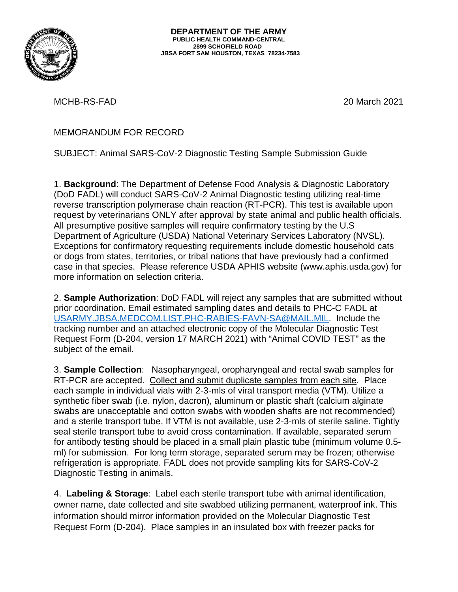

MCHB-RS-FAD 20 March 2021

MEMORANDUM FOR RECORD

SUBJECT: Animal SARS-CoV-2 Diagnostic Testing Sample Submission Guide

1. **Background**: The Department of Defense Food Analysis & Diagnostic Laboratory (DoD FADL) will conduct SARS-CoV-2 Animal Diagnostic testing utilizing real-time reverse transcription polymerase chain reaction (RT-PCR). This test is available upon request by veterinarians ONLY after approval by state animal and public health officials. All presumptive positive samples will require confirmatory testing by the U.S Department of Agriculture (USDA) National Veterinary Services Laboratory (NVSL). Exceptions for confirmatory requesting requirements include domestic household cats or dogs from states, territories, or tribal nations that have previously had a confirmed case in that species. Please reference USDA APHIS website (www.aphis.usda.gov) for more information on selection criteria.

2. **Sample Authorization**: DoD FADL will reject any samples that are submitted without prior coordination. Email estimated sampling dates and details to PHC-C FADL at [USARMY.JBSA.MEDCOM.LIST.PHC-RABIES-FAVN-SA@MAIL.MIL.](mailto:USARMY.JBSA.MEDCOM.LIST.PHC-RABIES-FAVN-SA@MAIL.MIL) Include the tracking number and an attached electronic copy of the Molecular Diagnostic Test Request Form (D-204, version 17 MARCH 2021) with "Animal COVID TEST" as the subject of the email.

3. **Sample Collection**: Nasopharyngeal, oropharyngeal and rectal swab samples for RT-PCR are accepted. Collect and submit duplicate samples from each site. Place each sample in individual vials with 2-3-mls of viral transport media (VTM). Utilize a synthetic fiber swab (i.e. nylon, dacron), aluminum or plastic shaft (calcium alginate swabs are unacceptable and cotton swabs with wooden shafts are not recommended) and a sterile transport tube. If VTM is not available, use 2-3-mls of sterile saline. Tightly seal sterile transport tube to avoid cross contamination. If available, separated serum for antibody testing should be placed in a small plain plastic tube (minimum volume 0.5 ml) for submission. For long term storage, separated serum may be frozen; otherwise refrigeration is appropriate. FADL does not provide sampling kits for SARS-CoV-2 Diagnostic Testing in animals.

4. **Labeling & Storage**: Label each sterile transport tube with animal identification, owner name, date collected and site swabbed utilizing permanent, waterproof ink. This information should mirror information provided on the Molecular Diagnostic Test Request Form (D-204). Place samples in an insulated box with freezer packs for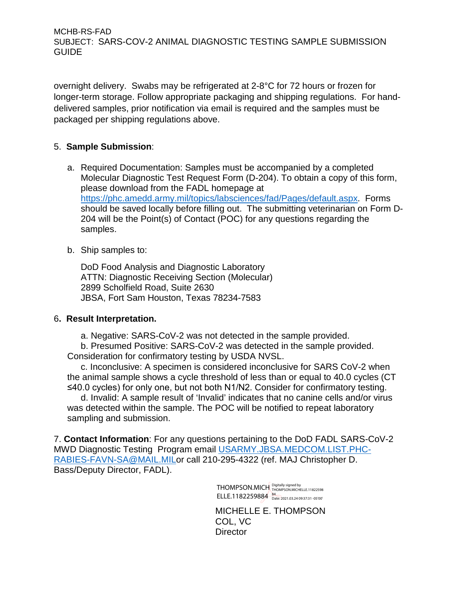MCHB-RS-FAD SUBJECT: SARS-COV-2 ANIMAL DIAGNOSTIC TESTING SAMPLE SUBMISSION GUIDE

overnight delivery. Swabs may be refrigerated at 2-8°C for 72 hours or frozen for longer-term storage. Follow appropriate packaging and shipping regulations. For handdelivered samples, prior notification via email is required and the samples must be packaged per shipping regulations above.

## 5. **Sample Submission**:

- a. Required Documentation: Samples must be accompanied by a completed Molecular Diagnostic Test Request Form (D-204). To obtain a copy of this form, please download from the FADL homepage at [https://phc.amedd.army.mil/topics/labsciences/fad/Pages/default.aspx.](https://phc.amedd.army.mil/topics/labsciences/fad/Pages/default.aspx) Forms should be saved locally before filling out. The submitting veterinarian on Form D-204 will be the Point(s) of Contact (POC) for any questions regarding the samples.
- b. Ship samples to:

DoD Food Analysis and Diagnostic Laboratory ATTN: Diagnostic Receiving Section (Molecular) 2899 Scholfield Road, Suite 2630 JBSA, Fort Sam Houston, Texas 78234-7583

## 6**. Result Interpretation.**

a. Negative: SARS-CoV-2 was not detected in the sample provided.

b. Presumed Positive: SARS-CoV-2 was detected in the sample provided. Consideration for confirmatory testing by USDA NVSL.

c. Inconclusive: A specimen is considered inconclusive for SARS CoV-2 when the animal sample shows a cycle threshold of less than or equal to 40.0 cycles (CT ≤40.0 cycles) for only one, but not both N1/N2. Consider for confirmatory testing.

d. Invalid: A sample result of 'Invalid' indicates that no canine cells and/or virus was detected within the sample. The POC will be notified to repeat laboratory sampling and submission.

7. **Contact Information**: For any questions pertaining to the DoD FADL SARS-CoV-2 MWD Diagnostic Testing Program email [USARMY.JBSA.MEDCOM.LIST.PHC-](mailto:USARMY.JBSA.MEDCOM.LIST.PHC-RABIES-FAVN-SA@MAIL.MIL)[RABIES-FAVN-SA@MAIL.MILo](mailto:USARMY.JBSA.MEDCOM.LIST.PHC-RABIES-FAVN-SA@MAIL.MIL)r call 210-295-4322 (ref. MAJ Christopher D. Bass/Deputy Director, FADL).

> THOMPSON.MICH Digitally signed by<br>THOMPSON.MICH THOMPSON.MICHELLE.11822598 ELLE.1182259884 84<br>Date: 2021.03.24 09:37:31 -05'00'

MICHELLE E. THOMPSON COL, VC **Director**